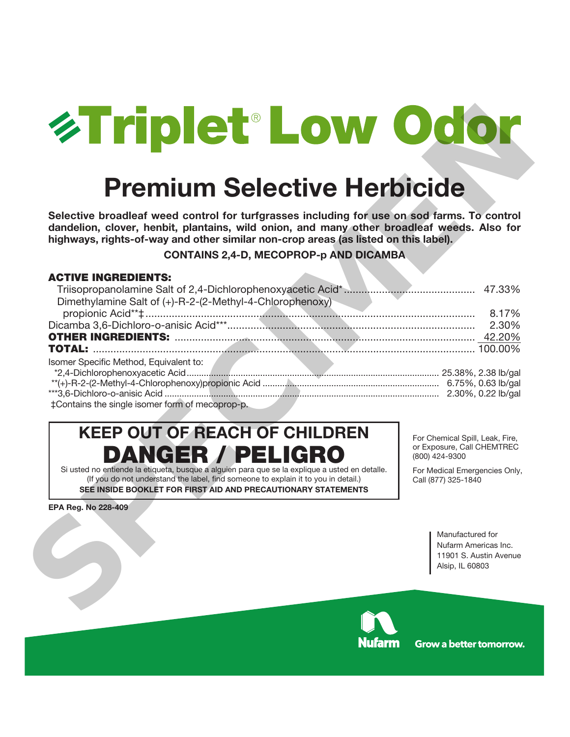

# **Premium Selective Herbicide**

## **CONTAINS 2,4-D, MECOPROP-p AND DICAMBA**

## **ACTIVE INGREDIENTS:**

| <b>Explored Low Odo</b>                                                                                                                                                                                                                                                                                                           |                                                                                                                                         |
|-----------------------------------------------------------------------------------------------------------------------------------------------------------------------------------------------------------------------------------------------------------------------------------------------------------------------------------|-----------------------------------------------------------------------------------------------------------------------------------------|
| <b>Premium Selective Herbicide</b>                                                                                                                                                                                                                                                                                                |                                                                                                                                         |
| Selective broadleaf weed control for turfgrasses including for use on sod farms. To control<br>dandelion, clover, henbit, plantains, wild onion, and many other broadleaf weeds. Also for<br>highways, rights-of-way and other similar non-crop areas (as listed on this label).<br><b>CONTAINS 2,4-D, MECOPROP-p AND DICAMBA</b> |                                                                                                                                         |
| <b>ACTIVE INGREDIENTS:</b><br>Dimethylamine Salt of (+)-R-2-(2-Methyl-4-Chlorophenoxy)                                                                                                                                                                                                                                            | 8.17%<br>2.30%                                                                                                                          |
| Isomer Specific Method, Equivalent to:<br>‡Contains the single isomer form of mecoprop-p.                                                                                                                                                                                                                                         |                                                                                                                                         |
| <b>KEEP OUT OF REACH OF CHILDREN</b><br><b>DANGER / PELIGRO</b><br>Si usted no entiende la etiqueta, busque a alguien para que se la explique a usted en detalle.<br>(If you do not understand the label, find someone to explain it to you in detail.)<br>SEE INSIDE BOOKLET FOR FIRST AID AND PRECAUTIONARY STATEMENTS          | For Chemical Spill, Leak, Fire,<br>or Exposure, Call CHEMTREC<br>(800) 424-9300<br>For Medical Emergencies Only,<br>Call (877) 325-1840 |
| EPA Reg. No 228-409                                                                                                                                                                                                                                                                                                               | Manufactured for<br>Nufarm Americas Inc.<br>11901 S. Austin Avenue<br>Alsip, IL 60803                                                   |

## **KEEP OUT OF REACH OF CHILDREN DANGER / PELIGRO**



**Grow a better tomorrow.**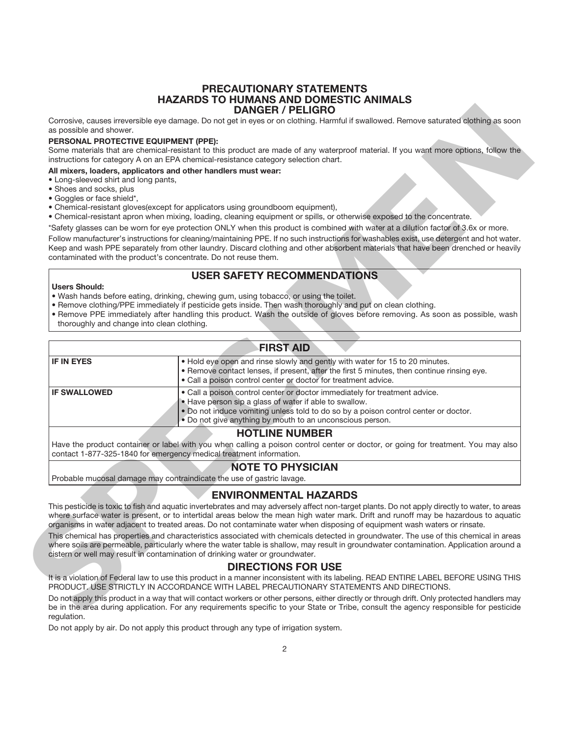#### **PRECAUTIONARY STATEMENTS HAZARDS TO HUMANS AND DOMESTIC ANIMALS DANGER / PELIGRO**

#### **PERSONAL PROTECTIVE EQUIPMENT (PPE):**

#### **All mixers, loaders, applicators and other handlers must wear:**

- Long-sleeved shirt and long pants,
- Shoes and socks, plus
- Goggles or face shield\*,
- Chemical-resistant gloves(except for applicators using groundboom equipment),
- Chemical-resistant apron when mixing, loading, cleaning equipment or spills, or otherwise exposed to the concentrate.
- \*Safety glasses can be worn for eye protection ONLY when this product is combined with water at a dilution factor of 3.6x or more.

## **USER SAFETY RECOMMENDATIONS**

#### **Users Should:**

- Wash hands before eating, drinking, chewing gum, using tobacco, or using the toilet.
- Remove clothing/PPE immediately if pesticide gets inside. Then wash thoroughly and put on clean clothing.
- Remove PPE immediately after handling this product. Wash the outside of gloves before removing. As soon as possible, wash thoroughly and change into clean clothing.

| as possible and shower.                               | Corrosive, causes irreversible eye damage. Do not get in eyes or on clothing. Harmful if swallowed. Remove saturated clothing as soon                                                                                                                                                 |
|-------------------------------------------------------|---------------------------------------------------------------------------------------------------------------------------------------------------------------------------------------------------------------------------------------------------------------------------------------|
| PERSONAL PROTECTIVE EQUIPMENT (PPE):                  |                                                                                                                                                                                                                                                                                       |
|                                                       | Some materials that are chemical-resistant to this product are made of any waterproof material. If you want more options, follow the<br>instructions for category A on an EPA chemical-resistance category selection chart.                                                           |
|                                                       | All mixers, loaders, applicators and other handlers must wear:                                                                                                                                                                                                                        |
| • Long-sleeved shirt and long pants,                  |                                                                                                                                                                                                                                                                                       |
| • Shoes and socks, plus<br>• Goggles or face shield*, |                                                                                                                                                                                                                                                                                       |
|                                                       | • Chemical-resistant gloves(except for applicators using groundboom equipment),                                                                                                                                                                                                       |
|                                                       | . Chemical-resistant apron when mixing, loading, cleaning equipment or spills, or otherwise exposed to the concentrate.                                                                                                                                                               |
|                                                       | *Safety glasses can be worn for eye protection ONLY when this product is combined with water at a dilution factor of 3.6x or more.                                                                                                                                                    |
|                                                       | Follow manufacturer's instructions for cleaning/maintaining PPE. If no such instructions for washables exist, use detergent and hot water.                                                                                                                                            |
|                                                       | Keep and wash PPE separately from other laundry. Discard clothing and other absorbent materials that have been drenched or heavily                                                                                                                                                    |
|                                                       | contaminated with the product's concentrate. Do not reuse them.                                                                                                                                                                                                                       |
|                                                       | <b>USER SAFETY RECOMMENDATIONS</b>                                                                                                                                                                                                                                                    |
| <b>Users Should:</b>                                  |                                                                                                                                                                                                                                                                                       |
|                                                       | . Wash hands before eating, drinking, chewing gum, using tobacco, or using the toilet.                                                                                                                                                                                                |
|                                                       | . Remove clothing/PPE immediately if pesticide gets inside. Then wash thoroughly and put on clean clothing.                                                                                                                                                                           |
|                                                       | . Remove PPE immediately after handling this product. Wash the outside of gloves before removing. As soon as possible, wash                                                                                                                                                           |
| thoroughly and change into clean clothing.            |                                                                                                                                                                                                                                                                                       |
|                                                       |                                                                                                                                                                                                                                                                                       |
|                                                       | <b>FIRST AID</b>                                                                                                                                                                                                                                                                      |
| <b>IF IN EYES</b>                                     | . Hold eye open and rinse slowly and gently with water for 15 to 20 minutes.                                                                                                                                                                                                          |
|                                                       | . Remove contact lenses, if present, after the first 5 minutes, then continue rinsing eye.                                                                                                                                                                                            |
|                                                       | • Call a poison control center or doctor for treatment advice.                                                                                                                                                                                                                        |
| <b>IF SWALLOWED</b>                                   | . Call a poison control center or doctor immediately for treatment advice.                                                                                                                                                                                                            |
|                                                       | . Have person sip a glass of water if able to swallow.                                                                                                                                                                                                                                |
|                                                       | . Do not induce vomiting unless told to do so by a poison control center or doctor.<br>. Do not give anything by mouth to an unconscious person.                                                                                                                                      |
|                                                       | <b>HOTLINE NUMBER</b>                                                                                                                                                                                                                                                                 |
|                                                       | Have the product container or label with you when calling a poison control center or doctor, or going for treatment. You may also                                                                                                                                                     |
|                                                       | contact 1-877-325-1840 for emergency medical treatment information.                                                                                                                                                                                                                   |
|                                                       | <b>NOTE TO PHYSICIAN</b>                                                                                                                                                                                                                                                              |
|                                                       | Probable mucosal damage may contraindicate the use of gastric lavage.                                                                                                                                                                                                                 |
|                                                       |                                                                                                                                                                                                                                                                                       |
|                                                       | <b>ENVIRONMENTAL HAZARDS</b>                                                                                                                                                                                                                                                          |
|                                                       | This pesticide is toxic to fish and aquatic invertebrates and may adversely affect non-target plants. Do not apply directly to water, to areas                                                                                                                                        |
|                                                       | where surface water is present, or to intertidal areas below the mean high water mark. Drift and runoff may be hazardous to aquatic                                                                                                                                                   |
|                                                       | organisms in water adjacent to treated areas. Do not contaminate water when disposing of equipment wash waters or rinsate.                                                                                                                                                            |
|                                                       | This chemical has properties and characteristics associated with chemicals detected in groundwater. The use of this chemical in areas                                                                                                                                                 |
|                                                       | where soils are permeable, particularly where the water table is shallow, may result in groundwater contamination. Application around a                                                                                                                                               |
|                                                       | cistern or well may result in contamination of drinking water or groundwater.                                                                                                                                                                                                         |
|                                                       | <b>DIRECTIONS FOR USE</b>                                                                                                                                                                                                                                                             |
|                                                       | It is a violation of Federal law to use this product in a manner inconsistent with its labeling. READ ENTIRE LABEL BEFORE USING THIS<br>PRODUCT. USE STRICTLY IN ACCORDANCE WITH LABEL PRECAUTIONARY STATEMENTS AND DIRECTIONS.                                                       |
|                                                       |                                                                                                                                                                                                                                                                                       |
|                                                       | Do not apply this product in a way that will contact workers or other persons, either directly or through drift. Only protected handlers may<br>be in the area during application. For any requirements specific to your State or Tribe, consult the agency responsible for pesticide |
| courletion                                            |                                                                                                                                                                                                                                                                                       |

## **NOTE TO PHYSICIAN**

## **ENVIRONMENTAL HAZARDS**

#### **DIRECTIONS FOR USE**

Do not apply this product in a way that will contact workers or other persons, either directly or through drift. Only protected handlers may be in the area during application. For any requirements specific to your State or Tribe, consult the agency responsible for pesticide regulation.

Do not apply by air. Do not apply this product through any type of irrigation system.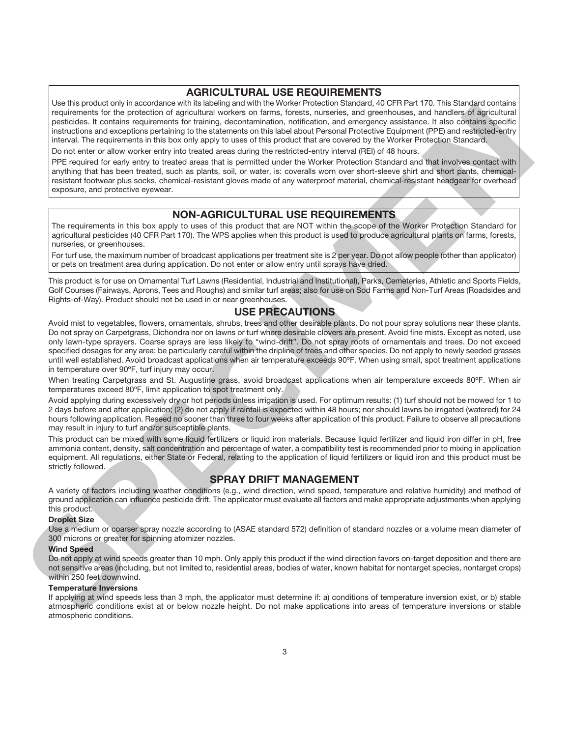## **AGRICULTURAL USE REQUIREMENTS**

Use this product only in accordance with its labeling and with the Worker Protection Standard, 40 CFR Part 170. This Standard contains requirements for the protection of agricultural workers on farms, forests, nurseries, and greenhouses, and handlers of agricultural pesticides. It contains requirements for training, decontamination, notification, and emergency assistance. It also contains specific instructions and exceptions pertaining to the statements on this label about Personal Protective Equipment (PPE) and restricted-entry interval. The requirements in this box only apply to uses of this product that are covered by the Worker Protection Standard.

Do not enter or allow worker entry into treated areas during the restricted-entry interval (REI) of 48 hours.

PPE required for early entry to treated areas that is permitted under the Worker Protection Standard and that involves contact with anything that has been treated, such as plants, soil, or water, is: coveralls worn over short-sleeve shirt and short pants, chemicalresistant footwear plus socks, chemical-resistant gloves made of any waterproof material, chemical-resistant headgear for overhead exposure, and protective eyewear.

## **NON-AGRICULTURAL USE REQUIREMENTS**

The requirements in this box apply to uses of this product that are NOT within the scope of the Worker Protection Standard for agricultural pesticides (40 CFR Part 170). The WPS applies when this product is used to produce agricultural plants on farms, forests, nurseries, or greenhouses.

For turf use, the maximum number of broadcast applications per treatment site is 2 per year. Do not allow people (other than applicator) or pets on treatment area during application. Do not enter or allow entry until sprays have dried.

This product is for use on Ornamental Turf Lawns (Residential, Industrial and Institutional), Parks, Cemeteries, Athletic and Sports Fields, Golf Courses (Fairways, Aprons, Tees and Roughs) and similar turf areas; also for use on Sod Farms and Non-Turf Areas (Roadsides and Rights-of-Way). Product should not be used in or near greenhouses.

## **USE PRECAUTIONS**

Avoid mist to vegetables, flowers, ornamentals, shrubs, trees and other desirable plants. Do not pour spray solutions near these plants. Do not spray on Carpetgrass, Dichondra nor on lawns or turf where desirable clovers are present. Avoid fine mists. Except as noted, use only lawn-type sprayers. Coarse sprays are less likely to "wind-drift". Do not spray roots of ornamentals and trees. Do not exceed specified dosages for any area; be particularly careful within the dripline of trees and other species. Do not apply to newly seeded grasses until well established. Avoid broadcast applications when air temperature exceeds 90ºF. When using small, spot treatment applications in temperature over 90ºF, turf injury may occur. positive. It creates the second method is the third decoration and the second method is the second method is the second method is the second method is the second method is the second method is the second method is the sec

When treating Carpetgrass and St. Augustine grass, avoid broadcast applications when air temperature exceeds 80°F. When air temperatures exceed 80ºF, limit application to spot treatment only.

Avoid applying during excessively dry or hot periods unless irrigation is used. For optimum results: (1) turf should not be mowed for 1 to 2 days before and after application; (2) do not apply if rainfall is expected within 48 hours; nor should lawns be irrigated (watered) for 24 hours following application. Reseed no sooner than three to four weeks after application of this product. Failure to observe all precautions may result in injury to turf and/or susceptible plants.

This product can be mixed with some liquid fertilizers or liquid iron materials. Because liquid fertilizer and liquid iron differ in pH, free ammonia content, density, salt concentration and percentage of water, a compatibility test is recommended prior to mixing in application equipment. All regulations, either State or Federal, relating to the application of liquid fertilizers or liquid iron and this product must be strictly followed.

## **SPRAY DRIFT MANAGEMENT**

A variety of factors including weather conditions (e.g., wind direction, wind speed, temperature and relative humidity) and method of ground application can influence pesticide drift. The applicator must evaluate all factors and make appropriate adjustments when applying this product.

#### **Droplet Size**

Use a medium or coarser spray nozzle according to (ASAE standard 572) definition of standard nozzles or a volume mean diameter of 300 microns or greater for spinning atomizer nozzles.

#### **Wind Speed**

Do not apply at wind speeds greater than 10 mph. Only apply this product if the wind direction favors on-target deposition and there are not sensitive areas (including, but not limited to, residential areas, bodies of water, known habitat for nontarget species, nontarget crops) within 250 feet downwind.

#### **Temperature Inversions**

If applying at wind speeds less than 3 mph, the applicator must determine if: a) conditions of temperature inversion exist, or b) stable atmospheric conditions exist at or below nozzle height. Do not make applications into areas of temperature inversions or stable atmospheric conditions.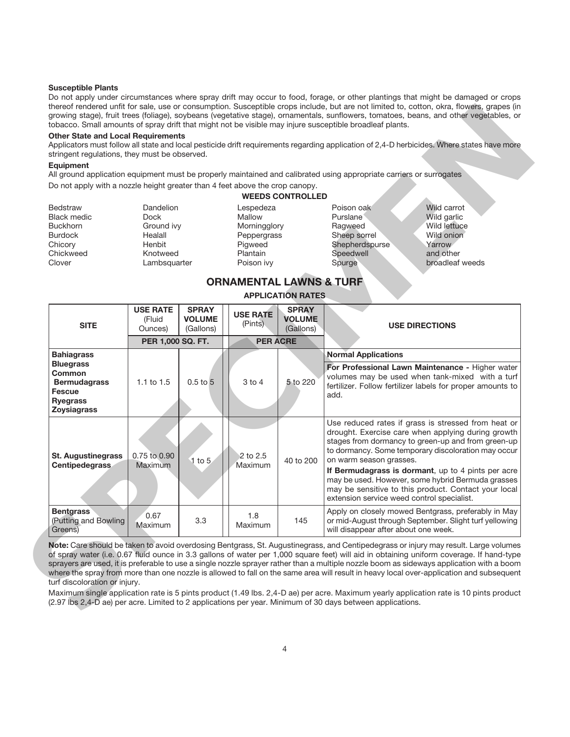#### **Susceptible Plants**

Do not apply under circumstances where spray drift may occur to food, forage, or other plantings that might be damaged or crops thereof rendered unfit for sale, use or consumption. Susceptible crops include, but are not limited to, cotton, okra, flowers, grapes (in growing stage), fruit trees (foliage), soybeans (vegetative stage), ornamentals, sunflowers, tomatoes, beans, and other vegetables, or tobacco. Small amounts of spray drift that might not be visible may injure susceptible broadleaf plants.

#### **Other State and Local Requirements**

#### **Equipment**

| <b>Dandelion</b> | Lespedeza     | Poison oak     | Wild carrot             |
|------------------|---------------|----------------|-------------------------|
| Dock             | <b>Mallow</b> | Purslane       | Wild garlic             |
| Ground ivy       | Morningglory  | Ragweed        | Wild lettuce            |
| Healall          | Peppergrass   | Sheep sorrel   | Wild onion              |
| Henbit           | Pigweed       | Shepherdspurse | Yarrow                  |
| Knotweed         | Plantain      | Speedwell      | and other               |
| Lambsquarter     | Poison ivy    | Spurge         | broadleaf weeds         |
|                  |               |                | <b>WEEDS CONTROLLED</b> |

### **ORNAMENTAL LAWNS & TURF APPLICATION RATES**

|                                                                                                                    |                                                          |                                            |                                                  |                                                                                                                                                                                                                                                   | All ground application equipment must be properly maintained and calibrated using appropriate carriers or surrogates                                                                                                                                                                                                                                                                                                                                                                                                                                                       |  |
|--------------------------------------------------------------------------------------------------------------------|----------------------------------------------------------|--------------------------------------------|--------------------------------------------------|---------------------------------------------------------------------------------------------------------------------------------------------------------------------------------------------------------------------------------------------------|----------------------------------------------------------------------------------------------------------------------------------------------------------------------------------------------------------------------------------------------------------------------------------------------------------------------------------------------------------------------------------------------------------------------------------------------------------------------------------------------------------------------------------------------------------------------------|--|
| Do not apply with a nozzle height greater than 4 feet above the crop canopy.                                       |                                                          |                                            |                                                  |                                                                                                                                                                                                                                                   |                                                                                                                                                                                                                                                                                                                                                                                                                                                                                                                                                                            |  |
|                                                                                                                    |                                                          |                                            |                                                  | <b>WEEDS CONTROLLED</b>                                                                                                                                                                                                                           |                                                                                                                                                                                                                                                                                                                                                                                                                                                                                                                                                                            |  |
| <b>Bedstraw</b><br><b>Black medic</b><br><b>Buckhorn</b>                                                           | <b>Dandelion</b><br><b>Dock</b><br>Ground ivy<br>Healall |                                            | Lespedeza<br>Mallow<br>Morningglory              |                                                                                                                                                                                                                                                   | Wild carrot<br>Poison oak<br>Purslane<br>Wild garlic<br>Ragweed<br>Wild lettuce<br>Wild onion                                                                                                                                                                                                                                                                                                                                                                                                                                                                              |  |
| <b>Burdock</b><br>Chicory<br>Chickweed<br>Clover                                                                   | Henbit<br>Knotweed<br>Lambsquarter                       |                                            | Peppergrass<br>Pigweed<br>Plantain<br>Poison ivy |                                                                                                                                                                                                                                                   | Sheep sorrel<br>Shepherdspurse<br>Yarrow<br>Speedwell<br>and other<br>Spurge<br>broadleaf weeds                                                                                                                                                                                                                                                                                                                                                                                                                                                                            |  |
|                                                                                                                    |                                                          |                                            |                                                  |                                                                                                                                                                                                                                                   |                                                                                                                                                                                                                                                                                                                                                                                                                                                                                                                                                                            |  |
|                                                                                                                    |                                                          |                                            | <b>ORNAMENTAL LAWNS &amp; TURF</b>               |                                                                                                                                                                                                                                                   |                                                                                                                                                                                                                                                                                                                                                                                                                                                                                                                                                                            |  |
|                                                                                                                    |                                                          |                                            |                                                  | <b>APPLICATION RATES</b>                                                                                                                                                                                                                          |                                                                                                                                                                                                                                                                                                                                                                                                                                                                                                                                                                            |  |
| <b>SITE</b>                                                                                                        | <b>USE RATE</b><br>(Fluid<br>Ounces)                     | <b>SPRAY</b><br><b>VOLUME</b><br>(Gallons) | <b>USE RATE</b><br>(Pints)                       | <b>SPRAY</b><br><b>VOLUME</b><br>(Gallons)                                                                                                                                                                                                        | <b>USE DIRECTIONS</b>                                                                                                                                                                                                                                                                                                                                                                                                                                                                                                                                                      |  |
|                                                                                                                    | PER 1,000 SQ. FT.                                        |                                            | <b>PER ACRE</b>                                  |                                                                                                                                                                                                                                                   |                                                                                                                                                                                                                                                                                                                                                                                                                                                                                                                                                                            |  |
| <b>Bahiagrass</b>                                                                                                  |                                                          |                                            |                                                  |                                                                                                                                                                                                                                                   | <b>Normal Applications</b>                                                                                                                                                                                                                                                                                                                                                                                                                                                                                                                                                 |  |
| <b>Bluegrass</b><br><b>Common</b><br><b>Bermudagrass</b><br><b>Fescue</b><br><b>Ryegrass</b><br><b>Zoysiagrass</b> | 1.1 to $1.5$                                             | $0.5$ to $\overline{5}$                    | 3 to 4                                           | 5 to 220                                                                                                                                                                                                                                          | For Professional Lawn Maintenance - Higher water<br>volumes may be used when tank-mixed with a turf<br>fertilizer. Follow fertilizer labels for proper amounts to<br>add.                                                                                                                                                                                                                                                                                                                                                                                                  |  |
| <b>St. Augustinegrass</b><br>Centipedegrass                                                                        | 0.75 to 0.90<br>$1$ to $5$<br>Maximum                    | 2 to 2.5<br>Maximum                        | 40 to 200                                        | Use reduced rates if grass is stressed from heat or<br>drought. Exercise care when applying during growth<br>stages from dormancy to green-up and from green-up<br>to dormancy. Some temporary discoloration may occur<br>on warm season grasses. |                                                                                                                                                                                                                                                                                                                                                                                                                                                                                                                                                                            |  |
|                                                                                                                    |                                                          |                                            |                                                  |                                                                                                                                                                                                                                                   | If Bermudagrass is dormant, up to 4 pints per acre<br>may be used. However, some hybrid Bermuda grasses<br>may be sensitive to this product. Contact your local<br>extension service weed control specialist.                                                                                                                                                                                                                                                                                                                                                              |  |
| <b>Bentgrass</b><br>(Putting and Bowling<br>Greens)                                                                | 0.67<br>Maximum                                          | 3.3                                        | 1.8<br>Maximum                                   | 145                                                                                                                                                                                                                                               | Apply on closely mowed Bentgrass, preferably in May<br>or mid-August through September. Slight turf yellowing<br>will disappear after about one week.                                                                                                                                                                                                                                                                                                                                                                                                                      |  |
| turf discoloration or injury.                                                                                      |                                                          |                                            |                                                  |                                                                                                                                                                                                                                                   | Note: Care should be taken to avoid overdosing Bentgrass, St. Augustinegrass, and Centipedegrass or injury may result. Large volumes<br>of spray water (i.e. 0.67 fluid ounce in 3.3 gallons of water per 1,000 square feet) will aid in obtaining uniform coverage. If hand-type<br>sprayers are used, it is preferable to use a single nozzle sprayer rather than a multiple nozzle boom as sideways application with a boom<br>where the spray from more than one nozzle is allowed to fall on the same area will result in heavy local over-application and subsequent |  |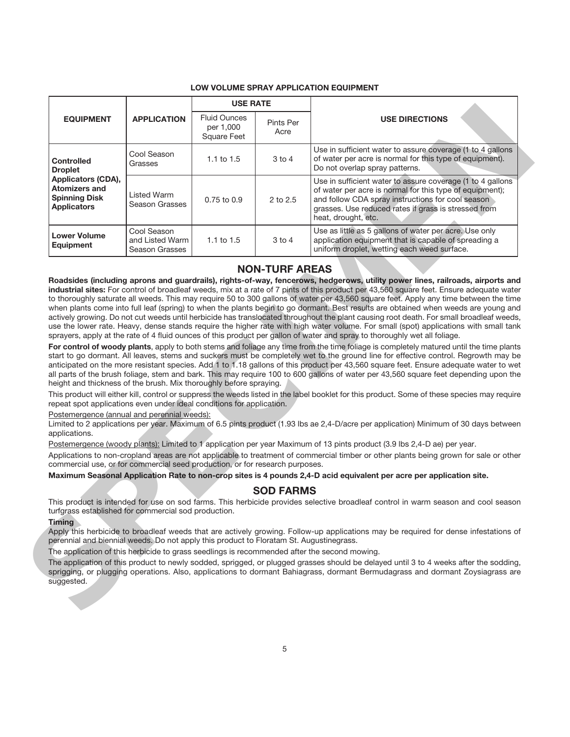#### **LOW VOLUME SPRAY APPLICATION EQUIPMENT**

| <b>EQUIPMENT</b>                                                                                                                                                                                                                                                                            |                                                  | <b>USE RATE</b>                                 |                       | <b>USE DIRECTIONS</b>                                                                                                                                                                                                                                                                                                                                                                                                                                                                                                                                                                                                                                                                              |
|---------------------------------------------------------------------------------------------------------------------------------------------------------------------------------------------------------------------------------------------------------------------------------------------|--------------------------------------------------|-------------------------------------------------|-----------------------|----------------------------------------------------------------------------------------------------------------------------------------------------------------------------------------------------------------------------------------------------------------------------------------------------------------------------------------------------------------------------------------------------------------------------------------------------------------------------------------------------------------------------------------------------------------------------------------------------------------------------------------------------------------------------------------------------|
|                                                                                                                                                                                                                                                                                             | <b>APPLICATION</b>                               | <b>Fluid Ounces</b><br>per 1,000<br>Square Feet | Pints Per<br>Acre     |                                                                                                                                                                                                                                                                                                                                                                                                                                                                                                                                                                                                                                                                                                    |
| <b>Controlled</b><br><b>Droplet</b>                                                                                                                                                                                                                                                         | Cool Season<br>Grasses                           | 1.1 to $1.5$                                    | 3 to 4                | Use in sufficient water to assure coverage (1 to 4 gallons<br>of water per acre is normal for this type of equipment).<br>Do not overlap spray patterns.                                                                                                                                                                                                                                                                                                                                                                                                                                                                                                                                           |
| Applicators (CDA),<br><b>Atomizers and</b><br><b>Spinning Disk</b><br><b>Applicators</b>                                                                                                                                                                                                    | <b>Listed Warm</b><br>Season Grasses             | 0.75 to 0.9                                     | 2 to 2.5              | Use in sufficient water to assure coverage (1 to 4 gallons<br>of water per acre is normal for this type of equipment);<br>and follow CDA spray instructions for cool season<br>grasses. Use reduced rates if grass is stressed from<br>heat, drought, etc.                                                                                                                                                                                                                                                                                                                                                                                                                                         |
| <b>Lower Volume</b><br><b>Equipment</b>                                                                                                                                                                                                                                                     | Cool Season<br>and Listed Warm<br>Season Grasses | 1.1 to $1.5$                                    | $3$ to $4$            | Use as little as 5 gallons of water per acre. Use only<br>application equipment that is capable of spreading a<br>uniform droplet, wetting each weed surface.                                                                                                                                                                                                                                                                                                                                                                                                                                                                                                                                      |
|                                                                                                                                                                                                                                                                                             |                                                  |                                                 | <b>NON-TURF AREAS</b> |                                                                                                                                                                                                                                                                                                                                                                                                                                                                                                                                                                                                                                                                                                    |
|                                                                                                                                                                                                                                                                                             |                                                  |                                                 |                       | use the lower rate. Heavy, dense stands require the higher rate with high water volume. For small (spot) applications with small tank<br>sprayers, apply at the rate of 4 fluid ounces of this product per gallon of water and spray to thoroughly wet all foliage.<br>For control of woody plants, apply to both stems and foliage any time from the time foliage is completely matured until the time plants<br>start to go dormant. All leaves, stems and suckers must be completely wet to the ground line for effective control. Regrowth may be<br>anticipated on the more resistant species. Add 1 to 1.18 gallons of this product per 43,560 square feet. Ensure adequate water to wet     |
| height and thickness of the brush. Mix thoroughly before spraying.<br>repeat spot applications even under ideal conditions for application.<br>Postemergence (annual and perennial weeds):<br>applications.<br>commercial use, or for commercial seed production, or for research purposes. |                                                  |                                                 |                       | all parts of the brush foliage, stem and bark. This may require 100 to 600 gallons of water per 43,560 square feet depending upon the<br>This product will either kill, control or suppress the weeds listed in the label booklet for this product. Some of these species may require<br>Limited to 2 applications per year. Maximum of 6.5 pints product (1.93 lbs ae 2,4-D/acre per application) Minimum of 30 days between<br>Postemergence (woody plants): Limited to 1 application per year Maximum of 13 pints product (3.9 lbs 2,4-D ae) per year.<br>Applications to non-cropland areas are not applicable to treatment of commercial timber or other plants being grown for sale or other |
|                                                                                                                                                                                                                                                                                             |                                                  |                                                 |                       | Maximum Seasonal Application Rate to non-crop sites is 4 pounds 2,4-D acid equivalent per acre per application site.                                                                                                                                                                                                                                                                                                                                                                                                                                                                                                                                                                               |
|                                                                                                                                                                                                                                                                                             |                                                  |                                                 | <b>SOD FARMS</b>      | This product is intended for use on sod farms. This herbicide provides selective broadleaf control in warm season and cool season                                                                                                                                                                                                                                                                                                                                                                                                                                                                                                                                                                  |
| turfgrass established for commercial sod production.<br><b>Timing</b><br>perennial and biennial weeds. Do not apply this product to Floratam St. Augustinegrass.                                                                                                                            |                                                  |                                                 |                       | Apply this herbicide to broadleaf weeds that are actively growing. Follow-up applications may be required for dense infestations of                                                                                                                                                                                                                                                                                                                                                                                                                                                                                                                                                                |
| The application of this herbicide to grass seedlings is recommended after the second mowing.                                                                                                                                                                                                |                                                  |                                                 |                       |                                                                                                                                                                                                                                                                                                                                                                                                                                                                                                                                                                                                                                                                                                    |

### **NON-TURF AREAS**

#### **SOD FARMS**

#### **Timing**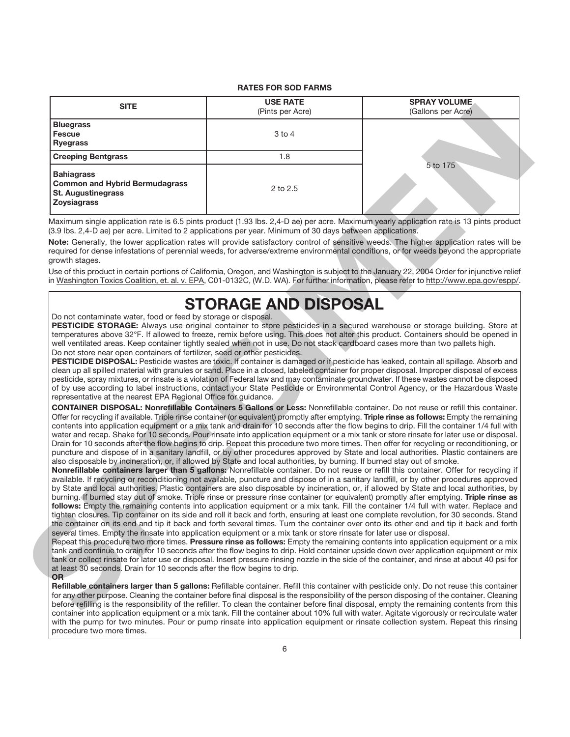#### **RATES FOR SOD FARMS**

| (Pints per Acre)<br><b>Bluegrass</b><br><b>Fescue</b><br>3 to 4<br><b>Ryegrass</b><br>1.8<br><b>Creeping Bentgrass</b><br><b>Bahiagrass</b><br>2 to 2.5<br><b>STORAGE AND DISPOSAL</b>                                                                                                                                                                                                                                                                                                                                                                                                                                                                                                                                                                                                                                                                                                                                                                                                                                                                                                                                                                                                                                                                                                                                                                                                                                                                                                                                                                                                                                                                                                                                                                                                                                                                                                                                                                                                                                                                                                                                                                                                                                                                                                                                                                                                                                                                                                                                                                                                                                                                                                                                                                                                                                                                                                                                                                                                                                                                                                                                                                                                                                                                                                                                                                                                                                                                                                                                                                                                                                                                                                                   | <b>SITE</b> | <b>USE RATE</b> | <b>SPRAY VOLUME</b> |  |
|----------------------------------------------------------------------------------------------------------------------------------------------------------------------------------------------------------------------------------------------------------------------------------------------------------------------------------------------------------------------------------------------------------------------------------------------------------------------------------------------------------------------------------------------------------------------------------------------------------------------------------------------------------------------------------------------------------------------------------------------------------------------------------------------------------------------------------------------------------------------------------------------------------------------------------------------------------------------------------------------------------------------------------------------------------------------------------------------------------------------------------------------------------------------------------------------------------------------------------------------------------------------------------------------------------------------------------------------------------------------------------------------------------------------------------------------------------------------------------------------------------------------------------------------------------------------------------------------------------------------------------------------------------------------------------------------------------------------------------------------------------------------------------------------------------------------------------------------------------------------------------------------------------------------------------------------------------------------------------------------------------------------------------------------------------------------------------------------------------------------------------------------------------------------------------------------------------------------------------------------------------------------------------------------------------------------------------------------------------------------------------------------------------------------------------------------------------------------------------------------------------------------------------------------------------------------------------------------------------------------------------------------------------------------------------------------------------------------------------------------------------------------------------------------------------------------------------------------------------------------------------------------------------------------------------------------------------------------------------------------------------------------------------------------------------------------------------------------------------------------------------------------------------------------------------------------------------------------------------------------------------------------------------------------------------------------------------------------------------------------------------------------------------------------------------------------------------------------------------------------------------------------------------------------------------------------------------------------------------------------------------------------------------------------------------------------------------|-------------|-----------------|---------------------|--|
|                                                                                                                                                                                                                                                                                                                                                                                                                                                                                                                                                                                                                                                                                                                                                                                                                                                                                                                                                                                                                                                                                                                                                                                                                                                                                                                                                                                                                                                                                                                                                                                                                                                                                                                                                                                                                                                                                                                                                                                                                                                                                                                                                                                                                                                                                                                                                                                                                                                                                                                                                                                                                                                                                                                                                                                                                                                                                                                                                                                                                                                                                                                                                                                                                                                                                                                                                                                                                                                                                                                                                                                                                                                                                                          |             |                 | (Gallons per Acre)  |  |
|                                                                                                                                                                                                                                                                                                                                                                                                                                                                                                                                                                                                                                                                                                                                                                                                                                                                                                                                                                                                                                                                                                                                                                                                                                                                                                                                                                                                                                                                                                                                                                                                                                                                                                                                                                                                                                                                                                                                                                                                                                                                                                                                                                                                                                                                                                                                                                                                                                                                                                                                                                                                                                                                                                                                                                                                                                                                                                                                                                                                                                                                                                                                                                                                                                                                                                                                                                                                                                                                                                                                                                                                                                                                                                          |             |                 |                     |  |
| <b>Common and Hybrid Bermudagrass</b><br><b>St. Augustinegrass</b><br><b>Zoysiagrass</b><br>Do not contaminate water, food or feed by storage or disposal.                                                                                                                                                                                                                                                                                                                                                                                                                                                                                                                                                                                                                                                                                                                                                                                                                                                                                                                                                                                                                                                                                                                                                                                                                                                                                                                                                                                                                                                                                                                                                                                                                                                                                                                                                                                                                                                                                                                                                                                                                                                                                                                                                                                                                                                                                                                                                                                                                                                                                                                                                                                                                                                                                                                                                                                                                                                                                                                                                                                                                                                                                                                                                                                                                                                                                                                                                                                                                                                                                                                                               |             |                 |                     |  |
| Maximum single application rate is 6.5 pints product (1.93 lbs. 2,4-D ae) per acre. Maximum yearly application rate is 13 pints product<br>(3.9 lbs. 2,4-D ae) per acre. Limited to 2 applications per year. Minimum of 30 days between applications.<br>Note: Generally, the lower application rates will provide satisfactory control of sensitive weeds. The higher application rates will be<br>required for dense infestations of perennial weeds, for adverse/extreme environmental conditions, or for weeds beyond the appropriate<br>growth stages.<br>Use of this product in certain portions of California, Oregon, and Washington is subject to the January 22, 2004 Order for injunctive relief<br>in Washington Toxics Coalition, et. al. v. EPA, C01-0132C, (W.D. WA). For further information, please refer to http://www.epa.gov/espp/.<br>PESTICIDE STORAGE: Always use original container to store pesticides in a secured warehouse or storage building. Store at<br>temperatures above 32°F. If allowed to freeze, remix before using. This does not alter this product. Containers should be opened in<br>well ventilated areas. Keep container tightly sealed when not in use. Do not stack cardboard cases more than two pallets high.<br>Do not store near open containers of fertilizer, seed or other pesticides.<br>PESTICIDE DISPOSAL: Pesticide wastes are toxic. If container is damaged or if pesticide has leaked, contain all spillage. Absorb and<br>clean up all spilled material with granules or sand. Place in a closed, labeled container for proper disposal. Improper disposal of excess<br>pesticide, spray mixtures, or rinsate is a violation of Federal law and may contaminate groundwater. If these wastes cannot be disposed<br>of by use according to label instructions, contact your State Pesticide or Environmental Control Agency, or the Hazardous Waste<br>representative at the nearest EPA Regional Office for guidance.<br>CONTAINER DISPOSAL: Nonrefillable Containers 5 Gallons or Less: Nonrefillable container. Do not reuse or refill this container.<br>Offer for recycling if available. Triple rinse container (or equivalent) promptly after emptying. Triple rinse as follows: Empty the remaining<br>contents into application equipment or a mix tank and drain for 10 seconds after the flow begins to drip. Fill the container 1/4 full with<br>water and recap. Shake for 10 seconds. Pour rinsate into application equipment or a mix tank or store rinsate for later use or disposal.<br>Drain for 10 seconds after the flow begins to drip. Repeat this procedure two more times. Then offer for recycling or reconditioning, or<br>puncture and dispose of in a sanitary landfill, or by other procedures approved by State and local authorities. Plastic containers are<br>also disposable by incineration, or, if allowed by State and local authorities, by burning. If burned stay out of smoke.<br>Nonrefillable containers larger than 5 gallons: Nonrefillable container. Do not reuse or refill this container. Offer for recycling if<br>available. If recycling or reconditioning not available, puncture and dispose of in a sanitary landfill, or by other procedures approved<br>by State and local authorities. Plastic containers are also disposable by incineration, or, if allowed by State and local authorities, by<br>burning. If burned stay out of smoke. Triple rinse or pressure rinse container (or equivalent) promptly after emptying. Triple rinse as<br>follows: Empty the remaining contents into application equipment or a mix tank. Fill the container 1/4 full with water. Replace and |             |                 | 5 to 175            |  |
|                                                                                                                                                                                                                                                                                                                                                                                                                                                                                                                                                                                                                                                                                                                                                                                                                                                                                                                                                                                                                                                                                                                                                                                                                                                                                                                                                                                                                                                                                                                                                                                                                                                                                                                                                                                                                                                                                                                                                                                                                                                                                                                                                                                                                                                                                                                                                                                                                                                                                                                                                                                                                                                                                                                                                                                                                                                                                                                                                                                                                                                                                                                                                                                                                                                                                                                                                                                                                                                                                                                                                                                                                                                                                                          |             |                 |                     |  |
| tighten closures. Tip container on its side and roll it back and forth, ensuring at least one complete revolution, for 30 seconds. Stand<br>the container on its end and tip it back and forth several times. Turn the container over onto its other end and tip it back and forth<br>several times. Empty the rinsate into application equipment or a mix tank or store rinsate for later use or disposal.<br>Repeat this procedure two more times. Pressure rinse as follows: Empty the remaining contents into application equipment or a mix<br>tank and continue to drain for 10 seconds after the flow begins to drip. Hold container upside down over application equipment or mix                                                                                                                                                                                                                                                                                                                                                                                                                                                                                                                                                                                                                                                                                                                                                                                                                                                                                                                                                                                                                                                                                                                                                                                                                                                                                                                                                                                                                                                                                                                                                                                                                                                                                                                                                                                                                                                                                                                                                                                                                                                                                                                                                                                                                                                                                                                                                                                                                                                                                                                                                                                                                                                                                                                                                                                                                                                                                                                                                                                                                |             |                 |                     |  |

## **STORAGE AND DISPOSAL**

**Refillable containers larger than 5 gallons:** Refillable container. Refill this container with pesticide only. Do not reuse this container for any other purpose. Cleaning the container before final disposal is the responsibility of the person disposing of the container. Cleaning before refilling is the responsibility of the refiller. To clean the container before final disposal, empty the remaining contents from this container into application equipment or a mix tank. Fill the container about 10% full with water. Agitate vigorously or recirculate water with the pump for two minutes. Pour or pump rinsate into application equipment or rinsate collection system. Repeat this rinsing procedure two more times.